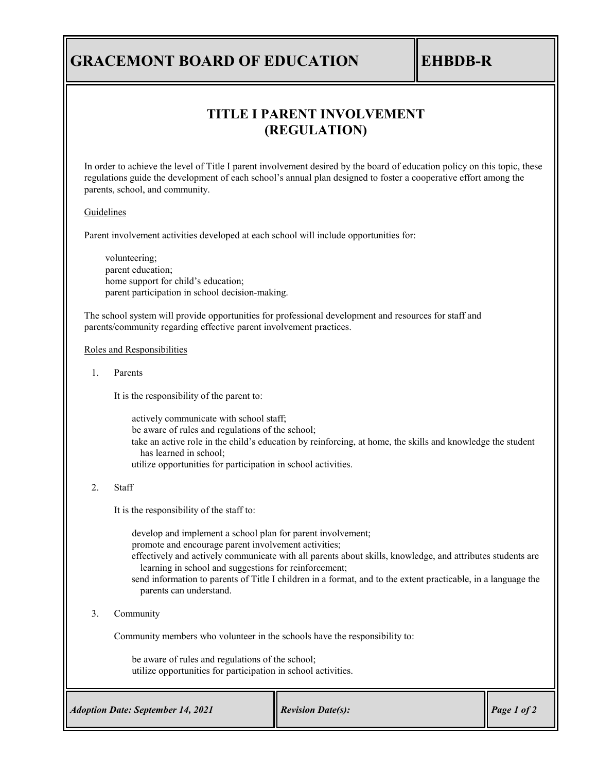# **GRACEMONT BOARD OF EDUCATION EHBDB-R**

# **TITLE I PARENT INVOLVEMENT (REGULATION)**

In order to achieve the level of Title I parent involvement desired by the board of education policy on this topic, these regulations guide the development of each school's annual plan designed to foster a cooperative effort among the parents, school, and community.

### Guidelines

Parent involvement activities developed at each school will include opportunities for:

volunteering; parent education; home support for child's education; parent participation in school decision-making.

The school system will provide opportunities for professional development and resources for staff and parents/community regarding effective parent involvement practices.

### Roles and Responsibilities

1. Parents

It is the responsibility of the parent to:

actively communicate with school staff; be aware of rules and regulations of the school; take an active role in the child's education by reinforcing, at home, the skills and knowledge the student has learned in school; utilize opportunities for participation in school activities.

### 2. Staff

It is the responsibility of the staff to:

develop and implement a school plan for parent involvement; promote and encourage parent involvement activities; effectively and actively communicate with all parents about skills, knowledge, and attributes students are learning in school and suggestions for reinforcement; send information to parents of Title I children in a format, and to the extent practicable, in a language the parents can understand.

3. Community

Community members who volunteer in the schools have the responsibility to:

be aware of rules and regulations of the school; utilize opportunities for participation in school activities.